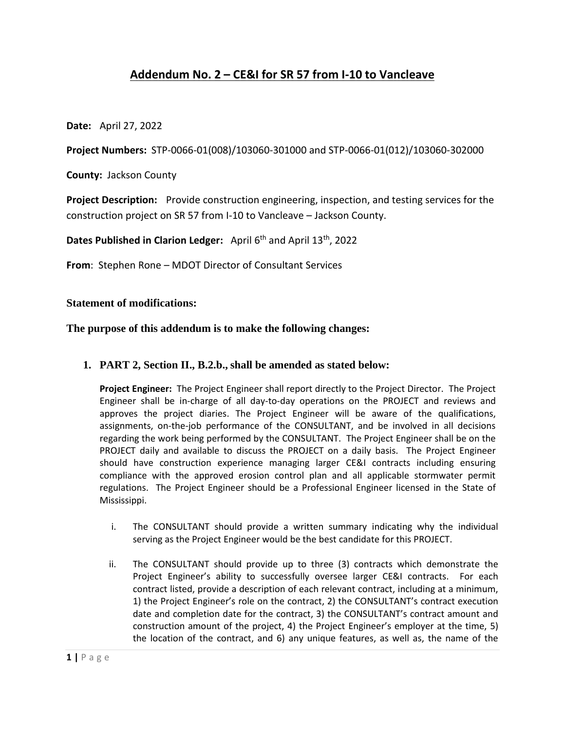## **Addendum No. 2 – CE&I for SR 57 from I-10 to Vancleave**

**Date:** April 27, 2022

**Project Numbers:** STP-0066-01(008)/103060-301000 and STP-0066-01(012)/103060-302000

**County:** Jackson County

**Project Description:** Provide construction engineering, inspection, and testing services for the construction project on SR 57 from I-10 to Vancleave – Jackson County.

**Dates Published in Clarion Ledger:** April 6<sup>th</sup> and April 13<sup>th</sup>, 2022

**From**: Stephen Rone – MDOT Director of Consultant Services

## **Statement of modifications:**

## **The purpose of this addendum is to make the following changes:**

## **1. PART 2, Section II., B.2.b., shall be amended as stated below:**

**Project Engineer:** The Project Engineer shall report directly to the Project Director. The Project Engineer shall be in-charge of all day-to-day operations on the PROJECT and reviews and approves the project diaries. The Project Engineer will be aware of the qualifications, assignments, on-the-job performance of the CONSULTANT, and be involved in all decisions regarding the work being performed by the CONSULTANT. The Project Engineer shall be on the PROJECT daily and available to discuss the PROJECT on a daily basis. The Project Engineer should have construction experience managing larger CE&I contracts including ensuring compliance with the approved erosion control plan and all applicable stormwater permit regulations. The Project Engineer should be a Professional Engineer licensed in the State of Mississippi.

- i. The CONSULTANT should provide a written summary indicating why the individual serving as the Project Engineer would be the best candidate for this PROJECT.
- ii. The CONSULTANT should provide up to three (3) contracts which demonstrate the Project Engineer's ability to successfully oversee larger CE&I contracts. For each contract listed, provide a description of each relevant contract, including at a minimum, 1) the Project Engineer's role on the contract, 2) the CONSULTANT's contract execution date and completion date for the contract, 3) the CONSULTANT's contract amount and construction amount of the project, 4) the Project Engineer's employer at the time, 5) the location of the contract, and 6) any unique features, as well as, the name of the